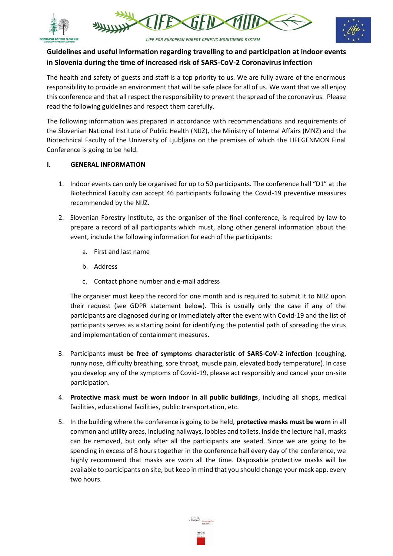





# **Guidelines and useful information regarding travelling to and participation at indoor events in Slovenia during the time of increased risk of SARS-CoV-2 Coronavirus infection**

The health and safety of guests and staff is a top priority to us. We are fully aware of the enormous responsibility to provide an environment that will be safe place for all of us. We want that we all enjoy this conference and that all respect the responsibility to prevent the spread of the coronavirus. Please read the following guidelines and respect them carefully.

The following information was prepared in accordance with recommendations and requirements of the Slovenian National Institute of Public Health (NIJZ), the Ministry of Internal Affairs (MNZ) and the Biotechnical Faculty of the University of Ljubljana on the premises of which the LIFEGENMON Final Conference is going to be held.

## **I. GENERAL INFORMATION**

- 1. Indoor events can only be organised for up to 50 participants. The conference hall "D1" at the Biotechnical Faculty can accept 46 participants following the Covid-19 preventive measures recommended by the NIJZ.
- 2. Slovenian Forestry Institute, as the organiser of the final conference, is required by law to prepare a record of all participants which must, along other general information about the event, include the following information for each of the participants:
	- a. First and last name
	- b. Address
	- c. Contact phone number and e-mail address

The organiser must keep the record for one month and is required to submit it to NIJZ upon their request (see GDPR statement below). This is usually only the case if any of the participants are diagnosed during or immediately after the event with Covid-19 and the list of participants serves as a starting point for identifying the potential path of spreading the virus and implementation of containment measures.

- 3. Participants **must be free of symptoms characteristic of SARS-CoV-2 infection** (coughing, runny nose, difficulty breathing, sore throat, muscle pain, elevated body temperature). In case you develop any of the symptoms of Covid-19, please act responsibly and cancel your on-site participation.
- 4. **Protective mask must be worn indoor in all public buildings**, including all shops, medical facilities, educational facilities, public transportation, etc.
- 5. In the building where the conference is going to be held, **protective masks must be worn** in all common and utility areas, including hallways, lobbies and toilets. Inside the lecture hall, masks can be removed, but only after all the participants are seated. Since we are going to be spending in excess of 8 hours together in the conference hall every day of the conference, we highly recommend that masks are worn all the time. Disposable protective masks will be available to participants on site, but keep in mind that you should change your mask app. every two hours.

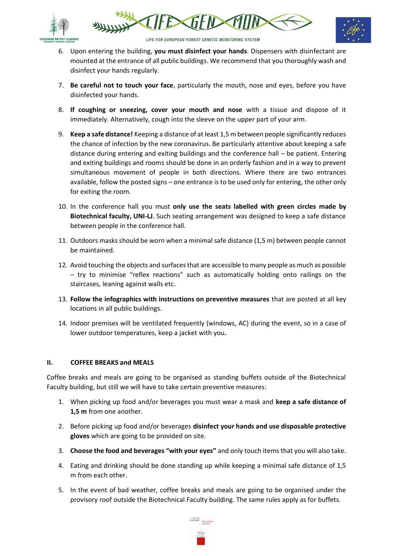





LIFE FOR EUROPEAN FOREST GENETIC MONITORING SYSTEM

- 6. Upon entering the building, **you must disinfect your hands**. Dispensers with disinfectant are mounted at the entrance of all public buildings. We recommend that you thoroughly wash and disinfect your hands regularly.
- 7. **Be careful not to touch your face**, particularly the mouth, nose and eyes, before you have disinfected your hands.
- 8. **If coughing or sneezing, cover your mouth and nose** with a tissue and dispose of it immediately. Alternatively, cough into the sleeve on the upper part of your arm.
- 9. **Keep a safe distance!** Keeping a distance of at least 1,5 m between people significantly reduces the chance of infection by the new coronavirus. Be particularly attentive about keeping a safe distance during entering and exiting buildings and the conference hall – be patient. Entering and exiting buildings and rooms should be done in an orderly fashion and in a way to prevent simultaneous movement of people in both directions. Where there are two entrances available, follow the posted signs – one entrance is to be used only for entering, the other only for exiting the room.
- 10. In the conference hall you must **only use the seats labelled with green circles made by Biotechnical faculty, UNI-LJ**. Such seating arrangement was designed to keep a safe distance between people in the conference hall.
- 11. Outdoors masks should be worn when a minimal safe distance (1,5 m) between people cannot be maintained.
- 12. Avoid touching the objects and surfaces that are accessible to many people as much as possible – try to minimise "reflex reactions" such as automatically holding onto railings on the staircases, leaning against walls etc.
- 13. **Follow the infographics with instructions on preventive measures** that are posted at all key locations in all public buildings.
- 14. Indoor premises will be ventilated frequently (windows, AC) during the event, so in a case of lower outdoor temperatures, keep a jacket with you**.**

## **II. COFFEE BREAKS and MEALS**

Coffee breaks and meals are going to be organised as standing buffets outside of the Biotechnical Faculty building, but still we will have to take certain preventive measures:

- 1. When picking up food and/or beverages you must wear a mask and **keep a safe distance of 1,5 m** from one another.
- 2. Before picking up food and/or beverages **disinfect your hands and use disposable protective gloves** which are going to be provided on site.
- 3. **Choose the food and beverages "with your eyes"** and only touch items that you will also take.
- 4. Eating and drinking should be done standing up while keeping a minimal safe distance of 1,5 m from each other.
- 5. In the event of bad weather, coffee breaks and meals are going to be organised under the provisory roof outside the Biotechnical Faculty building. The same rules apply as for buffets.

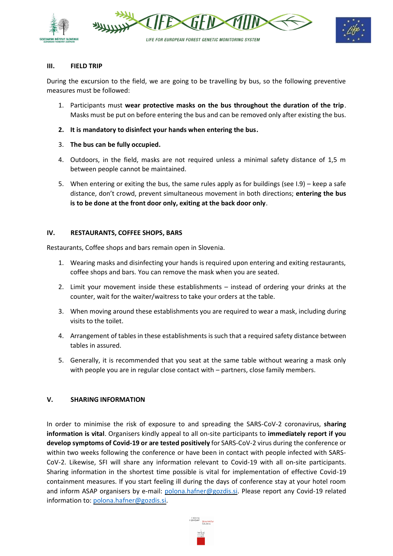





### **III. FIELD TRIP**

During the excursion to the field, we are going to be travelling by bus, so the following preventive measures must be followed:

- 1. Participants must **wear protective masks on the bus throughout the duration of the trip**. Masks must be put on before entering the bus and can be removed only after existing the bus.
- **2. It is mandatory to disinfect your hands when entering the bus.**
- 3. **The bus can be fully occupied.**
- 4. Outdoors, in the field, masks are not required unless a minimal safety distance of 1,5 m between people cannot be maintained.
- 5. When entering or exiting the bus, the same rules apply as for buildings (see I.9) keep a safe distance, don't crowd, prevent simultaneous movement in both directions; **entering the bus is to be done at the front door only, exiting at the back door only**.

#### **IV. RESTAURANTS, COFFEE SHOPS, BARS**

Restaurants, Coffee shops and bars remain open in Slovenia.

- 1. Wearing masks and disinfecting your hands is required upon entering and exiting restaurants, coffee shops and bars. You can remove the mask when you are seated.
- 2. Limit your movement inside these establishments instead of ordering your drinks at the counter, wait for the waiter/waitress to take your orders at the table.
- 3. When moving around these establishments you are required to wear a mask, including during visits to the toilet.
- 4. Arrangement of tables in these establishments is such that a required safety distance between tables in assured.
- 5. Generally, it is recommended that you seat at the same table without wearing a mask only with people you are in regular close contact with – partners, close family members.

## **V. SHARING INFORMATION**

In order to minimise the risk of exposure to and spreading the SARS-CoV-2 coronavirus, **sharing information is vital**. Organisers kindly appeal to all on-site participants to **immediately report if you develop symptoms of Covid-19 or are tested positively** for SARS-CoV-2 virus during the conference or within two weeks following the conference or have been in contact with people infected with SARS-CoV-2. Likewise, SFI will share any information relevant to Covid-19 with all on-site participants. Sharing information in the shortest time possible is vital for implementation of effective Covid-19 containment measures. If you start feeling ill during the days of conference stay at your hotel room and inform ASAP organisers by e-mail: [polona.hafner@gozdis.si.](mailto:polona.hafner@gozdis.si) Please report any Covid-19 related information to: [polona.hafner@gozdis.si.](mailto:polona.hafner@gozdis.si)